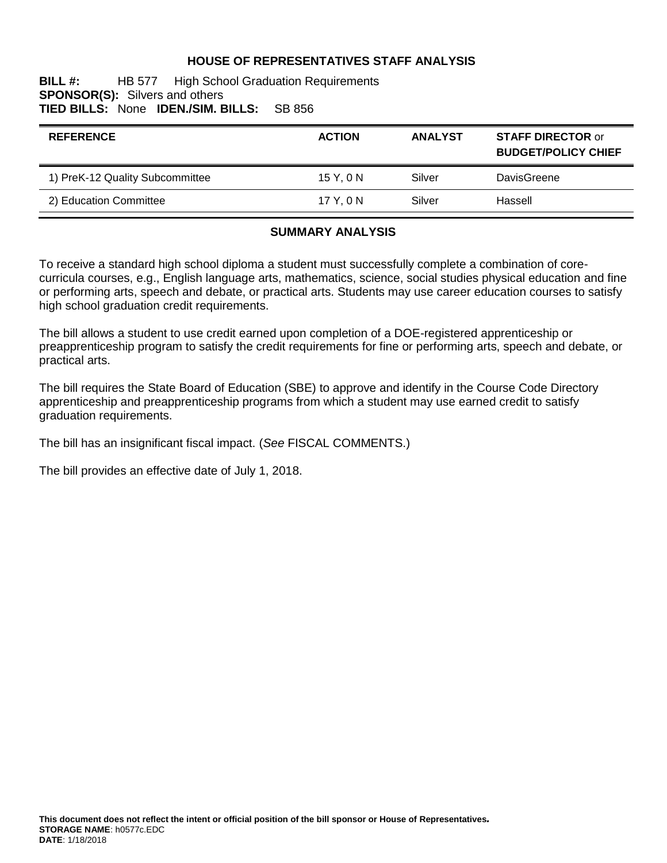## **HOUSE OF REPRESENTATIVES STAFF ANALYSIS**

#### **BILL #:** HB 577 High School Graduation Requirements **SPONSOR(S):** Silvers and others **TIED BILLS:** None **IDEN./SIM. BILLS:** SB 856

| <b>REFERENCE</b>                | <b>ACTION</b> | <b>ANALYST</b> | <b>STAFF DIRECTOR or</b><br><b>BUDGET/POLICY CHIEF</b> |
|---------------------------------|---------------|----------------|--------------------------------------------------------|
| 1) PreK-12 Quality Subcommittee | 15 Y, 0 N     | Silver         | DavisGreene                                            |
| 2) Education Committee          | 17 Y.ON       | Silver         | Hassell                                                |

#### **SUMMARY ANALYSIS**

To receive a standard high school diploma a student must successfully complete a combination of corecurricula courses, e.g., English language arts, mathematics, science, social studies physical education and fine or performing arts, speech and debate, or practical arts. Students may use career education courses to satisfy high school graduation credit requirements.

The bill allows a student to use credit earned upon completion of a DOE-registered apprenticeship or preapprenticeship program to satisfy the credit requirements for fine or performing arts, speech and debate, or practical arts.

The bill requires the State Board of Education (SBE) to approve and identify in the Course Code Directory apprenticeship and preapprenticeship programs from which a student may use earned credit to satisfy graduation requirements.

The bill has an insignificant fiscal impact. (*See* FISCAL COMMENTS.)

The bill provides an effective date of July 1, 2018.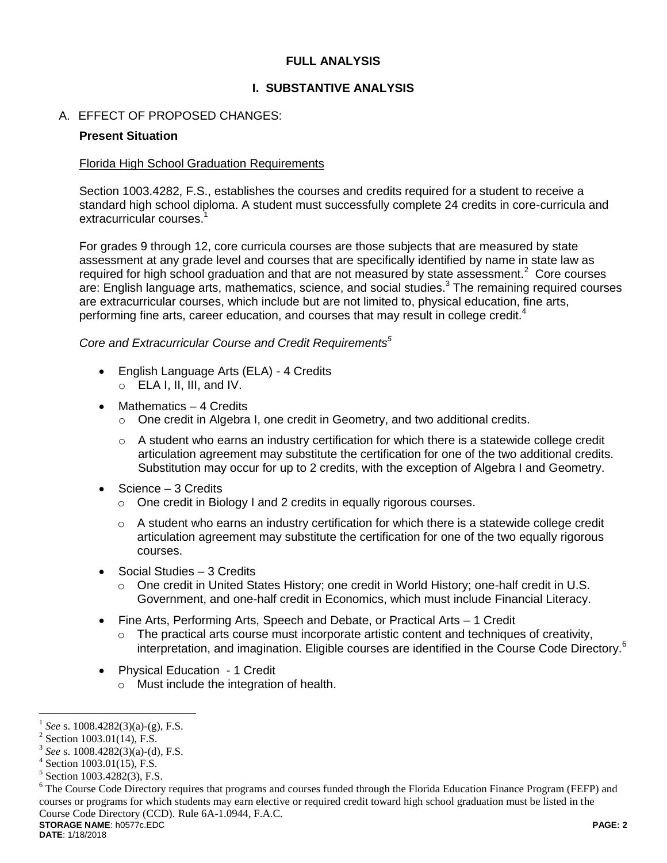## **FULL ANALYSIS**

## **I. SUBSTANTIVE ANALYSIS**

## A. EFFECT OF PROPOSED CHANGES:

### **Present Situation**

### Florida High School Graduation Requirements

Section 1003.4282, F.S., establishes the courses and credits required for a student to receive a standard high school diploma. A student must successfully complete 24 credits in core-curricula and extracurricular courses.<sup>1</sup>

For grades 9 through 12, core curricula courses are those subjects that are measured by state assessment at any grade level and courses that are specifically identified by name in state law as required for high school graduation and that are not measured by state assessment. $2$  Core courses are: English language arts, mathematics, science, and social studies.<sup>3</sup> The remaining required courses are extracurricular courses, which include but are not limited to, physical education, fine arts, performing fine arts, career education, and courses that may result in college credit.<sup>4</sup>

*Core and Extracurricular Course and Credit Requirements<sup>5</sup>*

- English Language Arts (ELA) 4 Credits
	- $\circ$  ELA I, II, III, and IV.
- Mathematics 4 Credits
	- $\circ$  One credit in Algebra I, one credit in Geometry, and two additional credits.
	- $\circ$  A student who earns an industry certification for which there is a statewide college credit articulation agreement may substitute the certification for one of the two additional credits. Substitution may occur for up to 2 credits, with the exception of Algebra I and Geometry.
- Science 3 Credits
	- o One credit in Biology I and 2 credits in equally rigorous courses.
	- $\circ$  A student who earns an industry certification for which there is a statewide college credit articulation agreement may substitute the certification for one of the two equally rigorous courses.
- Social Studies 3 Credits
	- $\circ$  One credit in United States History; one credit in World History; one-half credit in U.S. Government, and one-half credit in Economics, which must include Financial Literacy.
- Fine Arts, Performing Arts, Speech and Debate, or Practical Arts 1 Credit
	- $\circ$  The practical arts course must incorporate artistic content and techniques of creativity, interpretation, and imagination. Eligible courses are identified in the Course Code Directory.<sup>6</sup>
- Physical Education 1 Credit
	- o Must include the integration of health.

<sup>1</sup> *See* s. 1008.4282(3)(a)-(g), F.S.

 $2$  Section 1003.01(14), F.S.

<sup>3</sup> *See* s. 1008.4282(3)(a)-(d), F.S.

<sup>4</sup> Section 1003.01(15), F.S.

<sup>5</sup> Section 1003.4282(3), F.S.

**STORAGE NAME**: h0577c.EDC **PAGE: 2** <sup>6</sup> The Course Code Directory requires that programs and courses funded through the Florida Education Finance Program (FEFP) and courses or programs for which students may earn elective or required credit toward high school graduation must be listed in the Course Code Directory (CCD). Rule 6A-1.0944, F.A.C.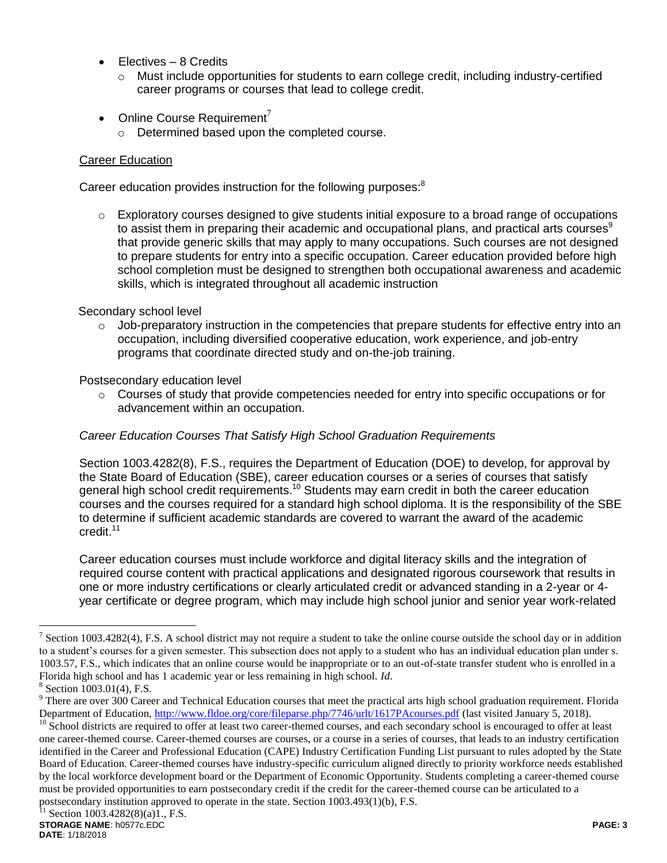- Electives 8 Credits
	- $\circ$  Must include opportunities for students to earn college credit, including industry-certified career programs or courses that lead to college credit.
- Online Course Requirement<sup>7</sup>
	- o Determined based upon the completed course.

## Career Education

Career education provides instruction for the following purposes:<sup>8</sup>

 $\circ$  Exploratory courses designed to give students initial exposure to a broad range of occupations to assist them in preparing their academic and occupational plans, and practical arts courses $9$ that provide generic skills that may apply to many occupations. Such courses are not designed to prepare students for entry into a specific occupation. Career education provided before high school completion must be designed to strengthen both occupational awareness and academic skills, which is integrated throughout all academic instruction

### Secondary school level

 $\circ$  Job-preparatory instruction in the competencies that prepare students for effective entry into an occupation, including diversified cooperative education, work experience, and job-entry programs that coordinate directed study and on-the-job training.

### Postsecondary education level

 $\circ$  Courses of study that provide competencies needed for entry into specific occupations or for advancement within an occupation.

## *Career Education Courses That Satisfy High School Graduation Requirements*

Section 1003.4282(8), F.S., requires the Department of Education (DOE) to develop, for approval by the State Board of Education (SBE), career education courses or a series of courses that satisfy general high school credit requirements.<sup>10</sup> Students may earn credit in both the career education courses and the courses required for a standard high school diploma. It is the responsibility of the SBE to determine if sufficient academic standards are covered to warrant the award of the academic credit.<sup>11</sup>

Career education courses must include workforce and digital literacy skills and the integration of required course content with practical applications and designated rigorous coursework that results in one or more industry certifications or clearly articulated credit or advanced standing in a 2-year or 4 year certificate or degree program, which may include high school junior and senior year work-related

<sup>&</sup>lt;sup>7</sup> Section 1003.4282(4), F.S. A school district may not require a student to take the online course outside the school day or in addition to a student's courses for a given semester. This subsection does not apply to a student who has an individual education plan under s. 1003.57, F.S., which indicates that an online course would be inappropriate or to an out-of-state transfer student who is enrolled in a Florida high school and has 1 academic year or less remaining in high school. *Id*.

<sup>8</sup> Section 1003.01(4), F.S.

<sup>&</sup>lt;sup>9</sup> There are over 300 Career and Technical Education courses that meet the practical arts high school graduation requirement. Florida Department of Education,<http://www.fldoe.org/core/fileparse.php/7746/urlt/1617PAcourses.pdf> (last visited January 5, 2018).

 $10$  School districts are required to offer at least two career-themed courses, and each secondary school is encouraged to offer at least one career-themed course. Career-themed courses are courses, or a course in a series of courses, that leads to an industry certification identified in the Career and Professional Education (CAPE) Industry Certification Funding List pursuant to rules adopted by the State Board of Education. Career-themed courses have industry-specific curriculum aligned directly to priority workforce needs established by the local workforce development board or the Department of Economic Opportunity. Students completing a career-themed course must be provided opportunities to earn postsecondary credit if the credit for the career-themed course can be articulated to a postsecondary institution approved to operate in the state. Section 1003.493(1)(b), F.S.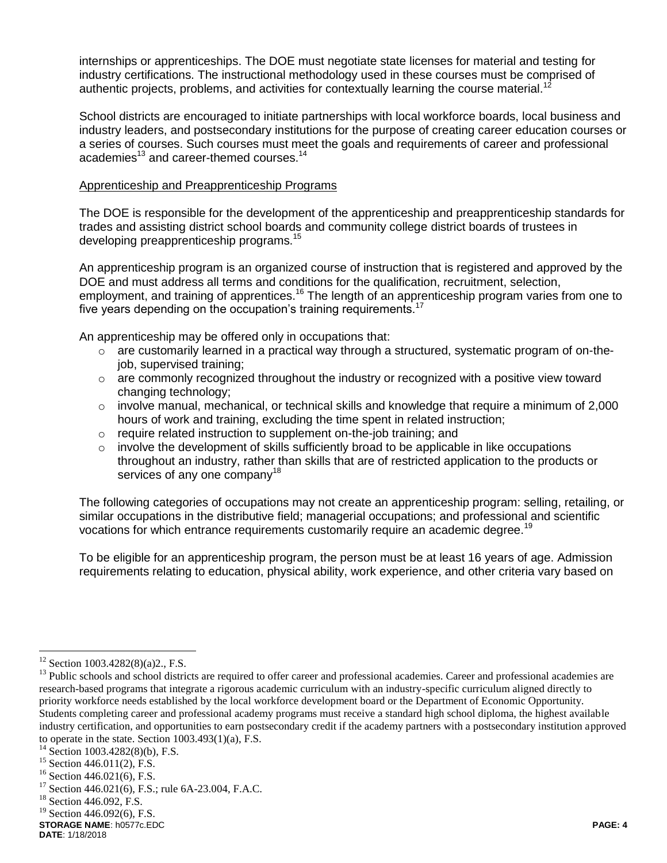internships or apprenticeships. The DOE must negotiate state licenses for material and testing for industry certifications. The instructional methodology used in these courses must be comprised of authentic projects, problems, and activities for contextually learning the course material.<sup>12</sup>

School districts are encouraged to initiate partnerships with local workforce boards, local business and industry leaders, and postsecondary institutions for the purpose of creating career education courses or a series of courses. Such courses must meet the goals and requirements of career and professional academies<sup>13</sup> and career-themed courses.<sup>14</sup>

#### Apprenticeship and Preapprenticeship Programs

The DOE is responsible for the development of the apprenticeship and preapprenticeship standards for trades and assisting district school boards and community college district boards of trustees in developing preapprenticeship programs.<sup>15</sup>

An apprenticeship program is an organized course of instruction that is registered and approved by the DOE and must address all terms and conditions for the qualification, recruitment, selection, employment, and training of apprentices.<sup>16</sup> The length of an apprenticeship program varies from one to five years depending on the occupation's training requirements.<sup>17</sup>

An apprenticeship may be offered only in occupations that:

- $\circ$  are customarily learned in a practical way through a structured, systematic program of on-thejob, supervised training;
- o are commonly recognized throughout the industry or recognized with a positive view toward changing technology;
- $\circ$  involve manual, mechanical, or technical skills and knowledge that require a minimum of 2,000 hours of work and training, excluding the time spent in related instruction;
- o require related instruction to supplement on-the-job training; and
- $\circ$  involve the development of skills sufficiently broad to be applicable in like occupations throughout an industry, rather than skills that are of restricted application to the products or services of any one company<sup>18</sup>

The following categories of occupations may not create an apprenticeship program: selling, retailing, or similar occupations in the distributive field; managerial occupations; and professional and scientific vocations for which entrance requirements customarily require an academic degree.<sup>19</sup>

To be eligible for an apprenticeship program, the person must be at least 16 years of age. Admission requirements relating to education, physical ability, work experience, and other criteria vary based on

 $12$  Section 1003.4282(8)(a)2., F.S.

<sup>&</sup>lt;sup>13</sup> Public schools and school districts are required to offer career and professional academies. Career and professional academies are research-based programs that integrate a rigorous academic curriculum with an industry-specific curriculum aligned directly to priority workforce needs established by the local workforce development board or the Department of Economic Opportunity. Students completing career and professional academy programs must receive a standard high school diploma, the highest available industry certification, and opportunities to earn postsecondary credit if the academy partners with a postsecondary institution approved to operate in the state. Section  $1003.493(1)(a)$ , F.S.

<sup>14</sup> Section 1003.4282(8)(b), F.S.

<sup>&</sup>lt;sup>15</sup> Section 446.011(2), F.S.

<sup>&</sup>lt;sup>16</sup> Section 446.021(6), F.S.<br><sup>17</sup> Section 446.021(6), F.S.

Section 446.021(6), F.S.; rule 6A-23.004, F.A.C.

<sup>&</sup>lt;sup>18</sup> Section 446.092, F.S.

 $19$  Section 446.092(6), F.S.

**STORAGE NAME**: h0577c.EDC **PAGE: 4**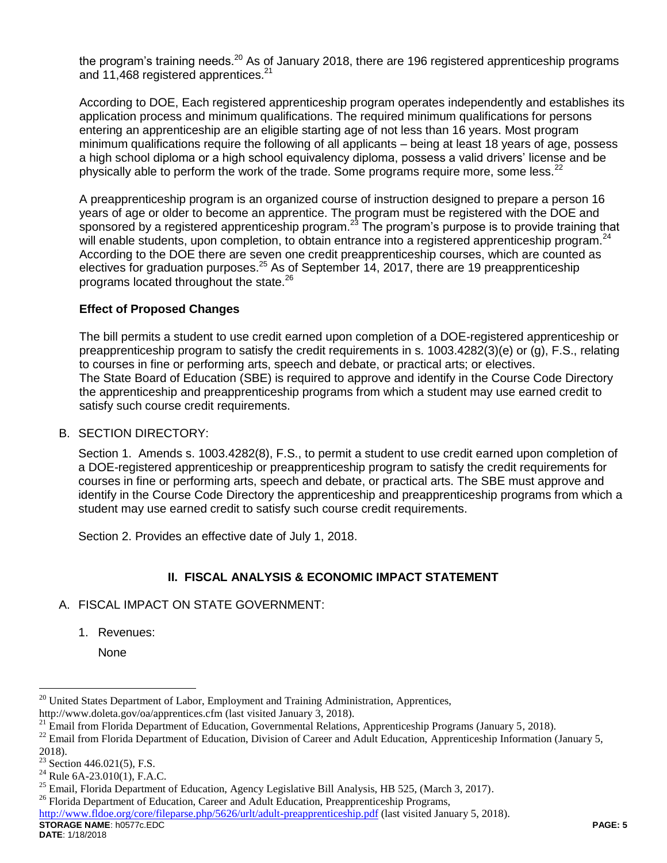the program's training needs.<sup>20</sup> As of January 2018, there are 196 registered apprenticeship programs and 11,468 registered apprentices.<sup>21</sup>

According to DOE, Each registered apprenticeship program operates independently and establishes its application process and minimum qualifications. The required minimum qualifications for persons entering an apprenticeship are an eligible starting age of not less than 16 years. Most program minimum qualifications require the following of all applicants – being at least 18 years of age, possess a high school diploma or a high school equivalency diploma, possess a valid drivers' license and be physically able to perform the work of the trade. Some programs require more, some less. $22$ 

A preapprenticeship program is an organized course of instruction designed to prepare a person 16 years of age or older to become an apprentice. The program must be registered with the DOE and sponsored by a registered apprenticeship program.<sup>23</sup> The program's purpose is to provide training that will enable students, upon completion, to obtain entrance into a registered apprenticeship program.<sup>24</sup> According to the DOE there are seven one credit preapprenticeship courses, which are counted as electives for graduation purposes.<sup>25</sup> As of September 14, 2017, there are 19 preapprenticeship programs located throughout the state.<sup>26</sup>

## **Effect of Proposed Changes**

The bill permits a student to use credit earned upon completion of a DOE-registered apprenticeship or preapprenticeship program to satisfy the credit requirements in s. 1003.4282(3)(e) or (g), F.S., relating to courses in fine or performing arts, speech and debate, or practical arts; or electives. The State Board of Education (SBE) is required to approve and identify in the Course Code Directory the apprenticeship and preapprenticeship programs from which a student may use earned credit to satisfy such course credit requirements.

## B. SECTION DIRECTORY:

Section 1. Amends s. 1003.4282(8), F.S., to permit a student to use credit earned upon completion of a DOE-registered apprenticeship or preapprenticeship program to satisfy the credit requirements for courses in fine or performing arts, speech and debate, or practical arts. The SBE must approve and identify in the Course Code Directory the apprenticeship and preapprenticeship programs from which a student may use earned credit to satisfy such course credit requirements.

Section 2. Provides an effective date of July 1, 2018.

# **II. FISCAL ANALYSIS & ECONOMIC IMPACT STATEMENT**

## A. FISCAL IMPACT ON STATE GOVERNMENT:

1. Revenues:

None

<sup>&</sup>lt;sup>20</sup> United States Department of Labor, Employment and Training Administration, Apprentices, http://www.doleta.gov/oa/apprentices.cfm (last visited January 3, 2018).

<sup>&</sup>lt;sup>21</sup> Email from Florida Department of Education, Governmental Relations, Apprenticeship Programs (January 5, 2018).

<sup>&</sup>lt;sup>22</sup> Email from Florida Department of Education, Division of Career and Adult Education, Apprenticeship Information (January 5, 2018).

 $23$  Section 446.021(5), F.S.

<sup>&</sup>lt;sup>24</sup> Rule 6A-23.010(1), F.A.C.

<sup>&</sup>lt;sup>25</sup> Email, Florida Department of Education, Agency Legislative Bill Analysis, HB 525, (March 3, 2017).

<sup>&</sup>lt;sup>26</sup> Florida Department of Education, Career and Adult Education, Preapprenticeship Programs,

**STORAGE NAME**: h0577c.EDC **PAGE: 5** <http://www.fldoe.org/core/fileparse.php/5626/urlt/adult-preapprenticeship.pdf> (last visited January 5, 2018).